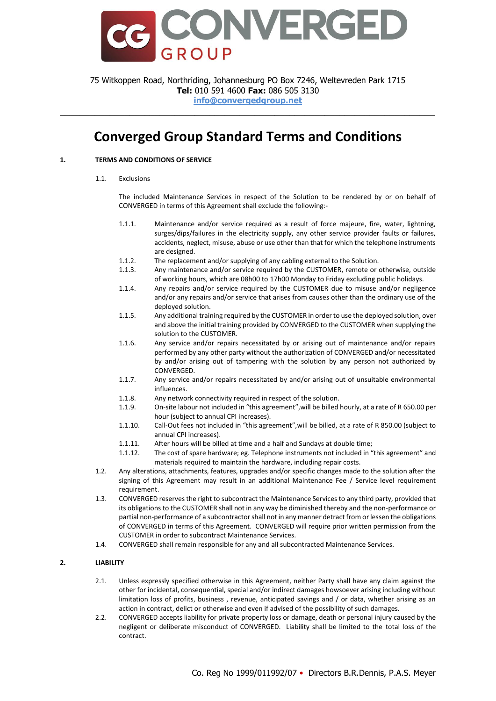

75 Witkoppen Road, Northriding, Johannesburg PO Box 7246, Weltevreden Park 1715 **Tel:** 010 591 4600 **Fax:** 086 505 3130 **info@convergedgroup.net**

\_\_\_\_\_\_\_\_\_\_\_\_\_\_\_\_\_\_\_\_\_\_\_\_\_\_\_\_\_\_\_\_\_\_\_\_\_\_\_\_\_\_\_\_\_\_\_\_\_\_\_\_\_\_\_\_\_\_\_\_\_\_\_\_\_\_\_\_\_\_\_\_\_\_\_

# **Converged Group Standard Terms and Conditions**

### **1. TERMS AND CONDITIONS OF SERVICE**

1.1. Exclusions

The included Maintenance Services in respect of the Solution to be rendered by or on behalf of CONVERGED in terms of this Agreement shall exclude the following:-

- 1.1.1. Maintenance and/or service required as a result of force majeure, fire, water, lightning, surges/dips/failures in the electricity supply, any other service provider faults or failures, accidents, neglect, misuse, abuse or use other than that for which the telephone instruments are designed.
- 1.1.2. The replacement and/or supplying of any cabling external to the Solution.<br>1.1.3. Any maintenance and/or service required by the CUSTOMER, remote or
- Any maintenance and/or service required by the CUSTOMER, remote or otherwise, outside of working hours, which are 08h00 to 17h00 Monday to Friday excluding public holidays.
- 1.1.4. Any repairs and/or service required by the CUSTOMER due to misuse and/or negligence and/or any repairs and/or service that arises from causes other than the ordinary use of the deployed solution.
- 1.1.5. Any additional training required by the CUSTOMER in order to use the deployed solution, over and above the initial training provided by CONVERGED to the CUSTOMER when supplying the solution to the CUSTOMER.
- 1.1.6. Any service and/or repairs necessitated by or arising out of maintenance and/or repairs performed by any other party without the authorization of CONVERGED and/or necessitated by and/or arising out of tampering with the solution by any person not authorized by CONVERGED.
- 1.1.7. Any service and/or repairs necessitated by and/or arising out of unsuitable environmental influences.
- 1.1.8. Any network connectivity required in respect of the solution.
- 1.1.9. On-site labour not included in "this agreement",will be billed hourly, at a rate of R 650.00 per hour (subject to annual CPI increases).
- 1.1.10. Call-Out fees not included in "this agreement",will be billed, at a rate of R 850.00 (subject to annual CPI increases).
- 1.1.11. After hours will be billed at time and a half and Sundays at double time;
- 1.1.12. The cost of spare hardware; eg. Telephone instruments not included in "this agreement" and materials required to maintain the hardware, including repair costs.
- 1.2. Any alterations, attachments, features, upgrades and/or specific changes made to the solution after the signing of this Agreement may result in an additional Maintenance Fee / Service level requirement requirement.
- 1.3. CONVERGED reserves the right to subcontract the Maintenance Services to any third party, provided that its obligations to the CUSTOMER shall not in any way be diminished thereby and the non-performance or partial non-performance of a subcontractor shall not in any manner detract from or lessen the obligations of CONVERGED in terms of this Agreement. CONVERGED will require prior written permission from the CUSTOMER in order to subcontract Maintenance Services.
- 1.4. CONVERGED shall remain responsible for any and all subcontracted Maintenance Services.

### **2. LIABILITY**

- 2.1. Unless expressly specified otherwise in this Agreement, neither Party shall have any claim against the other for incidental, consequential, special and/or indirect damages howsoever arising including without limitation loss of profits, business , revenue, anticipated savings and / or data, whether arising as an action in contract, delict or otherwise and even if advised of the possibility of such damages.
- 2.2. CONVERGED accepts liability for private property loss or damage, death or personal injury caused by the negligent or deliberate misconduct of CONVERGED. Liability shall be limited to the total loss of the contract.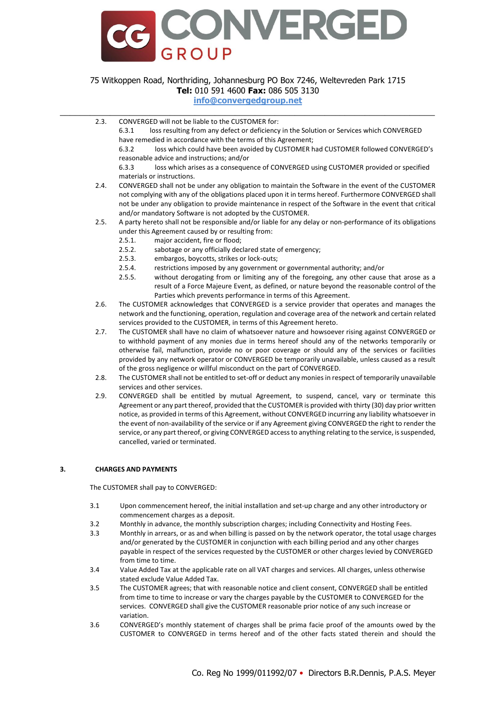

### **info@convergedgroup.net** \_\_\_\_\_\_\_\_\_\_\_\_\_\_\_\_\_\_\_\_\_\_\_\_\_\_\_\_\_\_\_\_\_\_\_\_\_\_\_\_\_\_\_\_\_\_\_\_\_\_\_\_\_\_\_\_\_\_\_\_\_\_\_\_\_\_\_\_\_\_\_\_\_\_\_

2.3. CONVERGED will not be liable to the CUSTOMER for:

6.3.1 loss resulting from any defect or deficiency in the Solution or Services which CONVERGED have remedied in accordance with the terms of this Agreement;

6.3.2 loss which could have been avoided by CUSTOMER had CUSTOMER followed CONVERGED's reasonable advice and instructions; and/or

6.3.3 loss which arises as a consequence of CONVERGED using CUSTOMER provided or specified materials or instructions.

- 2.4. CONVERGED shall not be under any obligation to maintain the Software in the event of the CUSTOMER not complying with any of the obligations placed upon it in terms hereof. Furthermore CONVERGED shall not be under any obligation to provide maintenance in respect of the Software in the event that critical and/or mandatory Software is not adopted by the CUSTOMER.
- 2.5. A party hereto shall not be responsible and/or liable for any delay or non-performance of its obligations under this Agreement caused by or resulting from:
	- 2.5.1. major accident, fire or flood;
	- 2.5.2. sabotage or any officially declared state of emergency;
	- 2.5.3. embargos, boycotts, strikes or lock-outs;
	- 2.5.4. restrictions imposed by any government or governmental authority; and/or
	- 2.5.5. without derogating from or limiting any of the foregoing, any other cause that arose as a result of a Force Majeure Event, as defined, or nature beyond the reasonable control of the Parties which prevents performance in terms of this Agreement.
- 2.6. The CUSTOMER acknowledges that CONVERGED is a service provider that operates and manages the network and the functioning, operation, regulation and coverage area of the network and certain related services provided to the CUSTOMER, in terms of this Agreement hereto.
- 2.7. The CUSTOMER shall have no claim of whatsoever nature and howsoever rising against CONVERGED or to withhold payment of any monies due in terms hereof should any of the networks temporarily or otherwise fail, malfunction, provide no or poor coverage or should any of the services or facilities provided by any network operator or CONVERGED be temporarily unavailable, unless caused as a result of the gross negligence or willful misconduct on the part of CONVERGED.
- 2.8. The CUSTOMER shall not be entitled to set-off or deduct any monies in respect of temporarily unavailable services and other services.
- 2.9. CONVERGED shall be entitled by mutual Agreement, to suspend, cancel, vary or terminate this Agreement or any part thereof, provided that the CUSTOMER is provided with thirty (30) day prior written notice, as provided in terms of this Agreement, without CONVERGED incurring any liability whatsoever in the event of non-availability of the service or if any Agreement giving CONVERGED the right to render the service, or any part thereof, or giving CONVERGED access to anything relating to the service, is suspended, cancelled, varied or terminated.

#### **3. CHARGES AND PAYMENTS**

The CUSTOMER shall pay to CONVERGED:

- 3.1 Upon commencement hereof, the initial installation and set-up charge and any other introductory or commencement charges as a deposit.
- 3.2 Monthly in advance, the monthly subscription charges; including Connectivity and Hosting Fees.
- 3.3 Monthly in arrears, or as and when billing is passed on by the network operator, the total usage charges and/or generated by the CUSTOMER in conjunction with each billing period and any other charges payable in respect of the services requested by the CUSTOMER or other charges levied by CONVERGED from time to time.
- 3.4 Value Added Tax at the applicable rate on all VAT charges and services. All charges, unless otherwise stated exclude Value Added Tax.
- 3.5 The CUSTOMER agrees; that with reasonable notice and client consent, CONVERGED shall be entitled from time to time to increase or vary the charges payable by the CUSTOMER to CONVERGED for the services. CONVERGED shall give the CUSTOMER reasonable prior notice of any such increase or variation.
- 3.6 CONVERGED's monthly statement of charges shall be prima facie proof of the amounts owed by the CUSTOMER to CONVERGED in terms hereof and of the other facts stated therein and should the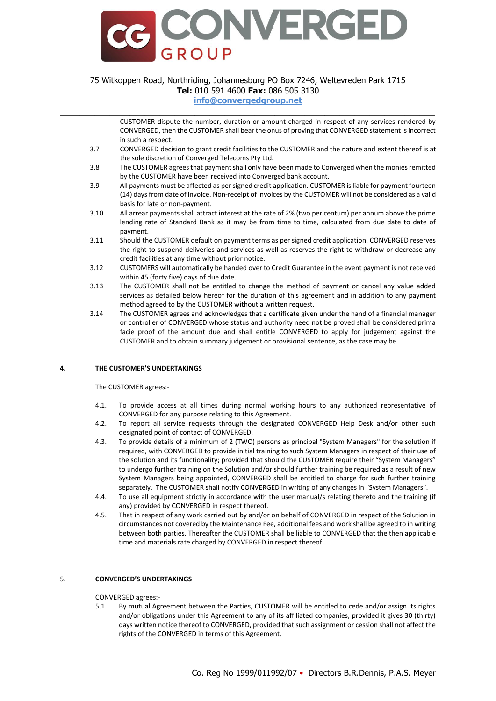

### **info@convergedgroup.net** \_\_\_\_\_\_\_\_\_\_\_\_\_\_\_\_\_\_\_\_\_\_\_\_\_\_\_\_\_\_\_\_\_\_\_\_\_\_\_\_\_\_\_\_\_\_\_\_\_\_\_\_\_\_\_\_\_\_\_\_\_\_\_\_\_\_\_\_\_\_\_\_\_\_\_

CUSTOMER dispute the number, duration or amount charged in respect of any services rendered by CONVERGED, then the CUSTOMER shall bear the onus of proving that CONVERGED statement is incorrect in such a respect.

- 3.7 CONVERGED decision to grant credit facilities to the CUSTOMER and the nature and extent thereof is at the sole discretion of Converged Telecoms Pty Ltd.
- 3.8 The CUSTOMER agrees that payment shall only have been made to Converged when the monies remitted by the CUSTOMER have been received into Converged bank account.
- 3.9 All payments must be affected as per signed credit application. CUSTOMER is liable for payment fourteen (14) days from date of invoice. Non-receipt of invoices by the CUSTOMER will not be considered as a valid basis for late or non-payment.
- 3.10 All arrear payments shall attract interest at the rate of 2% (two per centum) per annum above the prime lending rate of Standard Bank as it may be from time to time, calculated from due date to date of payment.
- 3.11 Should the CUSTOMER default on payment terms as per signed credit application. CONVERGED reserves the right to suspend deliveries and services as well as reserves the right to withdraw or decrease any credit facilities at any time without prior notice.
- 3.12 CUSTOMERS will automatically be handed over to Credit Guarantee in the event payment is not received within 45 (forty five) days of due date.
- 3.13 The CUSTOMER shall not be entitled to change the method of payment or cancel any value added services as detailed below hereof for the duration of this agreement and in addition to any payment method agreed to by the CUSTOMER without a written request.
- 3.14 The CUSTOMER agrees and acknowledges that a certificate given under the hand of a financial manager or controller of CONVERGED whose status and authority need not be proved shall be considered prima facie proof of the amount due and shall entitle CONVERGED to apply for judgement against the CUSTOMER and to obtain summary judgement or provisional sentence, as the case may be.

### **4. THE CUSTOMER'S UNDERTAKINGS**

#### The CUSTOMER agrees:-

- 4.1. To provide access at all times during normal working hours to any authorized representative of CONVERGED for any purpose relating to this Agreement.
- 4.2. To report all service requests through the designated CONVERGED Help Desk and/or other such designated point of contact of CONVERGED.
- 4.3. To provide details of a minimum of 2 (TWO) persons as principal "System Managers" for the solution if required, with CONVERGED to provide initial training to such System Managers in respect of their use of the solution and its functionality; provided that should the CUSTOMER require their "System Managers" to undergo further training on the Solution and/or should further training be required as a result of new System Managers being appointed, CONVERGED shall be entitled to charge for such further training separately. The CUSTOMER shall notify CONVERGED in writing of any changes in "System Managers".
- 4.4. To use all equipment strictly in accordance with the user manual/s relating thereto and the training (if any) provided by CONVERGED in respect thereof.
- 4.5. That in respect of any work carried out by and/or on behalf of CONVERGED in respect of the Solution in circumstances not covered by the Maintenance Fee, additional fees and work shall be agreed to in writing between both parties. Thereafter the CUSTOMER shall be liable to CONVERGED that the then applicable time and materials rate charged by CONVERGED in respect thereof.

#### 5. **CONVERGED'S UNDERTAKINGS**

#### CONVERGED agrees:-

5.1. By mutual Agreement between the Parties, CUSTOMER will be entitled to cede and/or assign its rights and/or obligations under this Agreement to any of its affiliated companies, provided it gives 30 (thirty) days written notice thereof to CONVERGED, provided that such assignment or cession shall not affect the rights of the CONVERGED in terms of this Agreement.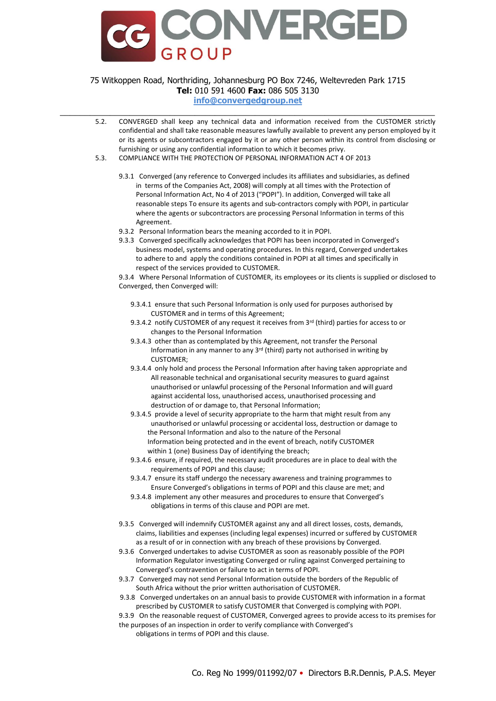

**info@convergedgroup.net** \_\_\_\_\_\_\_\_\_\_\_\_\_\_\_\_\_\_\_\_\_\_\_\_\_\_\_\_\_\_\_\_\_\_\_\_\_\_\_\_\_\_\_\_\_\_\_\_\_\_\_\_\_\_\_\_\_\_\_\_\_\_\_\_\_\_\_\_\_\_\_\_\_\_\_

- 5.2. CONVERGED shall keep any technical data and information received from the CUSTOMER strictly confidential and shall take reasonable measures lawfully available to prevent any person employed by it or its agents or subcontractors engaged by it or any other person within its control from disclosing or furnishing or using any confidential information to which it becomes privy.
- 5.3. COMPLIANCE WITH THE PROTECTION OF PERSONAL INFORMATION ACT 4 OF 2013
	- 9.3.1 Converged (any reference to Converged includes its affiliates and subsidiaries, as defined in terms of the Companies Act, 2008) will comply at all times with the Protection of Personal Information Act, No 4 of 2013 ("POPI"). In addition, Converged will take all reasonable steps To ensure its agents and sub-contractors comply with POPI, in particular where the agents or subcontractors are processing Personal Information in terms of this Agreement.
	- 9.3.2 Personal Information bears the meaning accorded to it in POPI.
	- 9.3.3 Converged specifically acknowledges that POPI has been incorporated in Converged's business model, systems and operating procedures. In this regard, Converged undertakes to adhere to and apply the conditions contained in POPI at all times and specifically in respect of the services provided to CUSTOMER.

9.3.4 Where Personal Information of CUSTOMER, its employees or its clients is supplied or disclosed to Converged, then Converged will:

- 9.3.4.1 ensure that such Personal Information is only used for purposes authorised by CUSTOMER and in terms of this Agreement;
- 9.3.4.2 notify CUSTOMER of any request it receives from 3<sup>rd</sup> (third) parties for access to or changes to the Personal Information
- 9.3.4.3 other than as contemplated by this Agreement, not transfer the Personal Information in any manner to any 3rd (third) party not authorised in writing by CUSTOMER;
- 9.3.4.4 only hold and process the Personal Information after having taken appropriate and All reasonable technical and organisational security measures to guard against unauthorised or unlawful processing of the Personal Information and will guard against accidental loss, unauthorised access, unauthorised processing and destruction of or damage to, that Personal Information;
- 9.3.4.5 provide a level of security appropriate to the harm that might result from any unauthorised or unlawful processing or accidental loss, destruction or damage to the Personal Information and also to the nature of the Personal Information being protected and in the event of breach, notify CUSTOMER within 1 (one) Business Day of identifying the breach;
- 9.3.4.6 ensure, if required, the necessary audit procedures are in place to deal with the requirements of POPI and this clause;
- 9.3.4.7 ensure its staff undergo the necessary awareness and training programmes to Ensure Converged's obligations in terms of POPI and this clause are met; and
- 9.3.4.8 implement any other measures and procedures to ensure that Converged's obligations in terms of this clause and POPI are met.
- 9.3.5 Converged will indemnify CUSTOMER against any and all direct losses, costs, demands, claims, liabilities and expenses (including legal expenses) incurred or suffered by CUSTOMER as a result of or in connection with any breach of these provisions by Converged.
- 9.3.6 Converged undertakes to advise CUSTOMER as soon as reasonably possible of the POPI Information Regulator investigating Converged or ruling against Converged pertaining to Converged's contravention or failure to act in terms of POPI.
- 9.3.7 Converged may not send Personal Information outside the borders of the Republic of South Africa without the prior written authorisation of CUSTOMER.
- 9.3.8 Converged undertakes on an annual basis to provide CUSTOMER with information in a format prescribed by CUSTOMER to satisfy CUSTOMER that Converged is complying with POPI.
- 9.3.9 On the reasonable request of CUSTOMER, Converged agrees to provide access to its premises for the purposes of an inspection in order to verify compliance with Converged's
	- obligations in terms of POPI and this clause.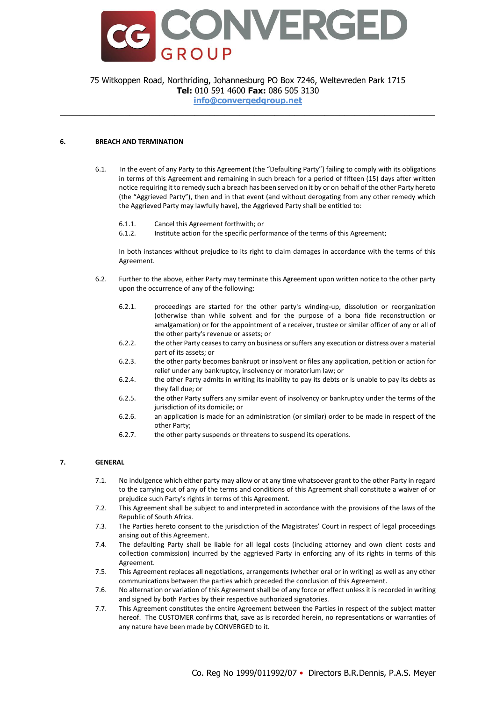

**info@convergedgroup.net** \_\_\_\_\_\_\_\_\_\_\_\_\_\_\_\_\_\_\_\_\_\_\_\_\_\_\_\_\_\_\_\_\_\_\_\_\_\_\_\_\_\_\_\_\_\_\_\_\_\_\_\_\_\_\_\_\_\_\_\_\_\_\_\_\_\_\_\_\_\_\_\_\_\_\_

### **6. BREACH AND TERMINATION**

- 6.1. In the event of any Party to this Agreement (the "Defaulting Party") failing to comply with its obligations in terms of this Agreement and remaining in such breach for a period of fifteen (15) days after written notice requiring it to remedy such a breach has been served on it by or on behalf of the other Party hereto (the "Aggrieved Party"), then and in that event (and without derogating from any other remedy which the Aggrieved Party may lawfully have), the Aggrieved Party shall be entitled to:
	- 6.1.1. Cancel this Agreement forthwith; or
	- 6.1.2. Institute action for the specific performance of the terms of this Agreement;

In both instances without prejudice to its right to claim damages in accordance with the terms of this Agreement.

- 6.2. Further to the above, either Party may terminate this Agreement upon written notice to the other party upon the occurrence of any of the following:
	- 6.2.1. proceedings are started for the other party's winding-up, dissolution or reorganization (otherwise than while solvent and for the purpose of a bona fide reconstruction or amalgamation) or for the appointment of a receiver, trustee or similar officer of any or all of the other party's revenue or assets; or
	- 6.2.2. the other Party ceases to carry on business or suffers any execution or distress over a material part of its assets; or
	- 6.2.3. the other party becomes bankrupt or insolvent or files any application, petition or action for relief under any bankruptcy, insolvency or moratorium law; or
	- 6.2.4. the other Party admits in writing its inability to pay its debts or is unable to pay its debts as they fall due; or
	- 6.2.5. the other Party suffers any similar event of insolvency or bankruptcy under the terms of the jurisdiction of its domicile; or
	- 6.2.6. an application is made for an administration (or similar) order to be made in respect of the other Party;
	- 6.2.7. the other party suspends or threatens to suspend its operations.

### **7. GENERAL**

- 7.1. No indulgence which either party may allow or at any time whatsoever grant to the other Party in regard to the carrying out of any of the terms and conditions of this Agreement shall constitute a waiver of or prejudice such Party's rights in terms of this Agreement.
- 7.2. This Agreement shall be subject to and interpreted in accordance with the provisions of the laws of the Republic of South Africa.
- 7.3. The Parties hereto consent to the jurisdiction of the Magistrates' Court in respect of legal proceedings arising out of this Agreement.
- 7.4. The defaulting Party shall be liable for all legal costs (including attorney and own client costs and collection commission) incurred by the aggrieved Party in enforcing any of its rights in terms of this Agreement.
- 7.5. This Agreement replaces all negotiations, arrangements (whether oral or in writing) as well as any other communications between the parties which preceded the conclusion of this Agreement.
- 7.6. No alternation or variation of this Agreement shall be of any force or effect unless it is recorded in writing and signed by both Parties by their respective authorized signatories.
- 7.7. This Agreement constitutes the entire Agreement between the Parties in respect of the subject matter hereof. The CUSTOMER confirms that, save as is recorded herein, no representations or warranties of any nature have been made by CONVERGED to it.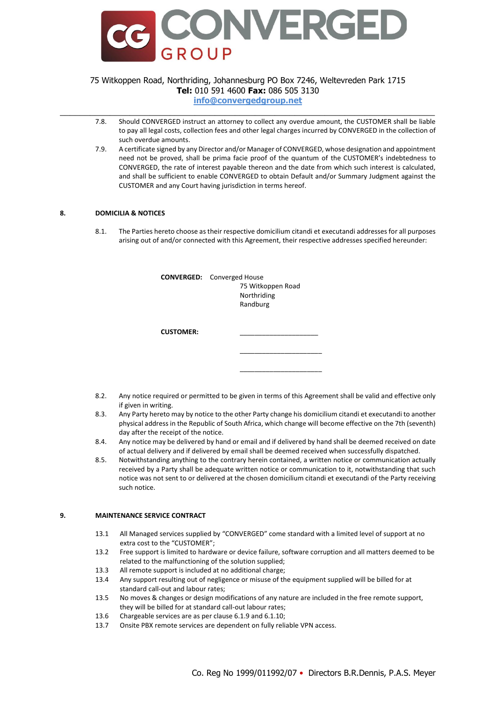

**info@convergedgroup.net** \_\_\_\_\_\_\_\_\_\_\_\_\_\_\_\_\_\_\_\_\_\_\_\_\_\_\_\_\_\_\_\_\_\_\_\_\_\_\_\_\_\_\_\_\_\_\_\_\_\_\_\_\_\_\_\_\_\_\_\_\_\_\_\_\_\_\_\_\_\_\_\_\_\_\_

- 7.8. Should CONVERGED instruct an attorney to collect any overdue amount, the CUSTOMER shall be liable to pay all legal costs, collection fees and other legal charges incurred by CONVERGED in the collection of such overdue amounts.
- 7.9. A certificate signed by any Director and/or Manager of CONVERGED, whose designation and appointment need not be proved, shall be prima facie proof of the quantum of the CUSTOMER's indebtedness to CONVERGED, the rate of interest payable thereon and the date from which such interest is calculated, and shall be sufficient to enable CONVERGED to obtain Default and/or Summary Judgment against the CUSTOMER and any Court having jurisdiction in terms hereof.

### **8. DOMICILIA & NOTICES**

8.1. The Parties hereto choose as their respective domicilium citandi et executandi addresses for all purposes arising out of and/or connected with this Agreement, their respective addresses specified hereunder:

|                  | <b>CONVERGED:</b> Converged House |  |
|------------------|-----------------------------------|--|
|                  | 75 Witkoppen Road                 |  |
|                  | Northriding                       |  |
|                  | Randburg                          |  |
|                  |                                   |  |
|                  |                                   |  |
| <b>CUSTOMER:</b> |                                   |  |
|                  |                                   |  |
|                  |                                   |  |

8.2. Any notice required or permitted to be given in terms of this Agreement shall be valid and effective only if given in writing.

\_\_\_\_\_\_\_\_\_\_\_\_\_\_\_\_\_\_\_\_\_\_

- 8.3. Any Party hereto may by notice to the other Party change his domicilium citandi et executandi to another physical address in the Republic of South Africa, which change will become effective on the 7th (seventh) day after the receipt of the notice.
- 8.4. Any notice may be delivered by hand or email and if delivered by hand shall be deemed received on date of actual delivery and if delivered by email shall be deemed received when successfully dispatched.
- 8.5. Notwithstanding anything to the contrary herein contained, a written notice or communication actually received by a Party shall be adequate written notice or communication to it, notwithstanding that such notice was not sent to or delivered at the chosen domicilium citandi et executandi of the Party receiving such notice.

#### **9. MAINTENANCE SERVICE CONTRACT**

- 13.1 All Managed services supplied by "CONVERGED" come standard with a limited level of support at no extra cost to the "CUSTOMER";
- 13.2 Free support is limited to hardware or device failure, software corruption and all matters deemed to be related to the malfunctioning of the solution supplied;
- 13.3 All remote support is included at no additional charge;
- 13.4 Any support resulting out of negligence or misuse of the equipment supplied will be billed for at standard call-out and labour rates;
- 13.5 No moves & changes or design modifications of any nature are included in the free remote support, they will be billed for at standard call-out labour rates;
- 13.6 Chargeable services are as per clause 6.1.9 and 6.1.10;
- 13.7 Onsite PBX remote services are dependent on fully reliable VPN access.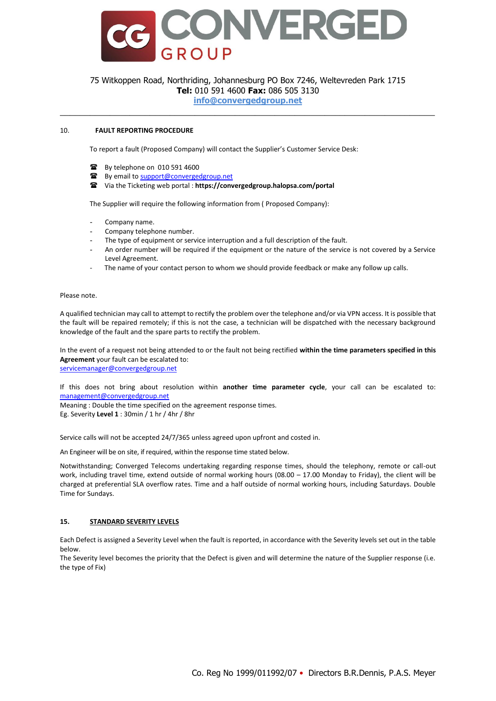

**info@convergedgroup.net** \_\_\_\_\_\_\_\_\_\_\_\_\_\_\_\_\_\_\_\_\_\_\_\_\_\_\_\_\_\_\_\_\_\_\_\_\_\_\_\_\_\_\_\_\_\_\_\_\_\_\_\_\_\_\_\_\_\_\_\_\_\_\_\_\_\_\_\_\_\_\_\_\_\_\_

### 10. **FAULT REPORTING PROCEDURE**

To report a fault (Proposed Company) will contact the Supplier's Customer Service Desk:

- **■** By telephone on 010 591 4600
- By email t[o support@convergedgroup.net](mailto:support@convergedgroup.net)
- Via the Ticketing web portal : **https://convergedgroup.halopsa.com/portal**

The Supplier will require the following information from ( Proposed Company):

- Company name.
- Company telephone number.
- The type of equipment or service interruption and a full description of the fault.
- An order number will be required if the equipment or the nature of the service is not covered by a Service Level Agreement.
- The name of your contact person to whom we should provide feedback or make any follow up calls.

Please note.

A qualified technician may call to attempt to rectify the problem over the telephone and/or via VPN access. It is possible that the fault will be repaired remotely; if this is not the case, a technician will be dispatched with the necessary background knowledge of the fault and the spare parts to rectify the problem.

In the event of a request not being attended to or the fault not being rectified **within the time parameters specified in this Agreement** your fault can be escalated to: [servicemanager@convergedgroup.net](mailto:servicemanager@convergedgroup.net)

If this does not bring about resolution within **another time parameter cycle**, your call can be escalated to: [management@convergedgroup.net](mailto:management@convergedgroup.net)

Meaning : Double the time specified on the agreement response times. Eg. Severity **Level 1** : 30min / 1 hr / 4hr / 8hr

Service calls will not be accepted 24/7/365 unless agreed upon upfront and costed in.

An Engineer will be on site, if required, within the response time stated below.

Notwithstanding; Converged Telecoms undertaking regarding response times, should the telephony, remote or call-out work, including travel time, extend outside of normal working hours (08.00 – 17.00 Monday to Friday), the client will be charged at preferential SLA overflow rates. Time and a half outside of normal working hours, including Saturdays. Double Time for Sundays.

### **15. STANDARD SEVERITY LEVELS**

Each Defect is assigned a Severity Level when the fault is reported, in accordance with the Severity levels set out in the table below.

The Severity level becomes the priority that the Defect is given and will determine the nature of the Supplier response (i.e. the type of Fix)